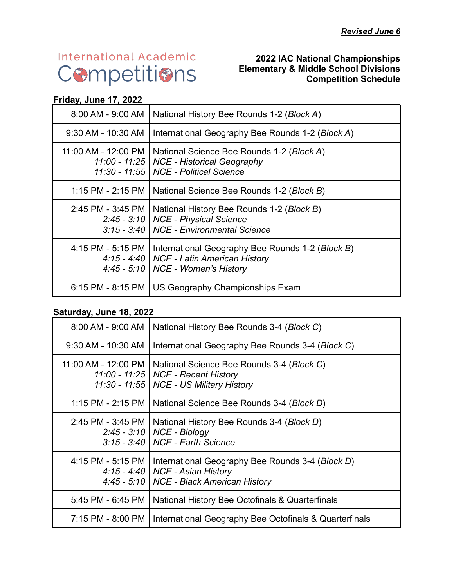# **International Academic** Competitions

#### **2022 IAC National Championships Elementary & Middle School Divisions Competition Schedule**

#### **Friday, June 17, 2022**

| 8:00 AM - 9:00 AM                      | National History Bee Rounds 1-2 (Block A)                                                                                             |  |
|----------------------------------------|---------------------------------------------------------------------------------------------------------------------------------------|--|
| 9:30 AM - 10:30 AM                     | International Geography Bee Rounds 1-2 (Block A)                                                                                      |  |
| 11:00 AM - 12:00 PM<br>$11:00 - 11:25$ | National Science Bee Rounds 1-2 (Block A)<br><b>NCE - Historical Geography</b><br>11:30 - 11:55   NCE - Political Science             |  |
| 1:15 PM - 2:15 PM                      | National Science Bee Rounds 1-2 (Block B)                                                                                             |  |
| 2:45 PM - 3:45 PM                      | National History Bee Rounds 1-2 (Block B)<br>2:45 - 3:10   NCE - Physical Science<br>3:15 - 3:40   NCE - Environmental Science        |  |
| 4:15 PM - 5:15 PM                      | International Geography Bee Rounds 1-2 (Block B)<br>4:15 - 4:40   NCE - Latin American History<br>4:45 - 5:10   NCE - Women's History |  |
| $6:15$ PM - 8:15 PM                    | US Geography Championships Exam                                                                                                       |  |

#### **Saturday, June 18, 2022**

| 8:00 AM - 9:00 AM                                   | National History Bee Rounds 3-4 (Block C)                                                                             |
|-----------------------------------------------------|-----------------------------------------------------------------------------------------------------------------------|
| 9:30 AM - 10:30 AM                                  | International Geography Bee Rounds 3-4 (Block C)                                                                      |
| 11:00 AM - 12:00 PM  <br>$11:00 - 11:25$            | National Science Bee Rounds 3-4 (Block C)<br><b>NCE - Recent History</b><br>11:30 - 11:55   NCE - US Military History |
| 1:15 PM - 2:15 PM                                   | National Science Bee Rounds 3-4 (Block D)                                                                             |
| 2:45 PM - 3:45 PM                                   | National History Bee Rounds 3-4 (Block D)<br>2:45 - 3:10   NCE - Biology<br>$3:15 - 3:40$ NCE - Earth Science         |
| 4:15 PM - 5:15 PM<br>$4:15 - 4:40$<br>$4:45 - 5:10$ | International Geography Bee Rounds 3-4 (Block D)<br><b>NCE - Asian History</b><br><b>NCE - Black American History</b> |
| 5:45 PM - 6:45 PM                                   | National History Bee Octofinals & Quarterfinals                                                                       |
| 7:15 PM - 8:00 PM                                   | International Geography Bee Octofinals & Quarterfinals                                                                |